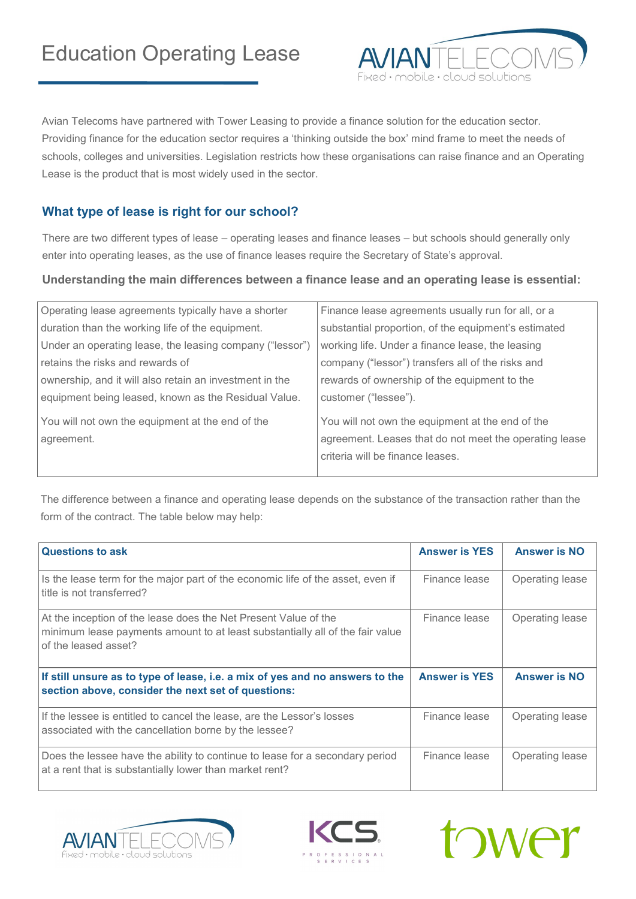

Avian Telecoms have partnered with Tower Leasing to provide a finance solution for the education sector. Providing finance for the education sector requires a 'thinking outside the box' mind frame to meet the needs of schools, colleges and universities. Legislation restricts how these organisations can raise finance and an Operating Lease is the product that is most widely used in the sector.

## **What type of lease is right for our school?**

There are two different types of lease – operating leases and finance leases – but schools should generally only enter into operating leases, as the use of finance leases require the Secretary of State's approval.

## **Understanding the main differences between a finance lease and an operating lease is essential:**

| Operating lease agreements typically have a shorter      | Finance lease agreements usually run for all, or a     |
|----------------------------------------------------------|--------------------------------------------------------|
| duration than the working life of the equipment.         | substantial proportion, of the equipment's estimated   |
| Under an operating lease, the leasing company ("lessor") | working life. Under a finance lease, the leasing       |
| retains the risks and rewards of                         | company ("lessor") transfers all of the risks and      |
| ownership, and it will also retain an investment in the  | rewards of ownership of the equipment to the           |
| equipment being leased, known as the Residual Value.     | customer ("lessee").                                   |
| You will not own the equipment at the end of the         | You will not own the equipment at the end of the       |
| agreement.                                               | agreement. Leases that do not meet the operating lease |
|                                                          | criteria will be finance leases.                       |
|                                                          |                                                        |

The difference between a finance and operating lease depends on the substance of the transaction rather than the form of the contract. The table below may help:

| <b>Questions to ask</b>                                                                                                                                                  | <b>Answer is YES</b> | <b>Answer is NO</b> |
|--------------------------------------------------------------------------------------------------------------------------------------------------------------------------|----------------------|---------------------|
| Is the lease term for the major part of the economic life of the asset, even if<br>title is not transferred?                                                             | Finance lease        | Operating lease     |
| At the inception of the lease does the Net Present Value of the<br>minimum lease payments amount to at least substantially all of the fair value<br>of the leased asset? | Finance lease        | Operating lease     |
| If still unsure as to type of lease, i.e. a mix of yes and no answers to the<br>section above, consider the next set of questions:                                       | <b>Answer is YES</b> | <b>Answer is NO</b> |
| If the lessee is entitled to cancel the lease, are the Lessor's losses<br>associated with the cancellation borne by the lessee?                                          | Finance lease        | Operating lease     |
| Does the lessee have the ability to continue to lease for a secondary period<br>at a rent that is substantially lower than market rent?                                  | Finance lease        | Operating lease     |